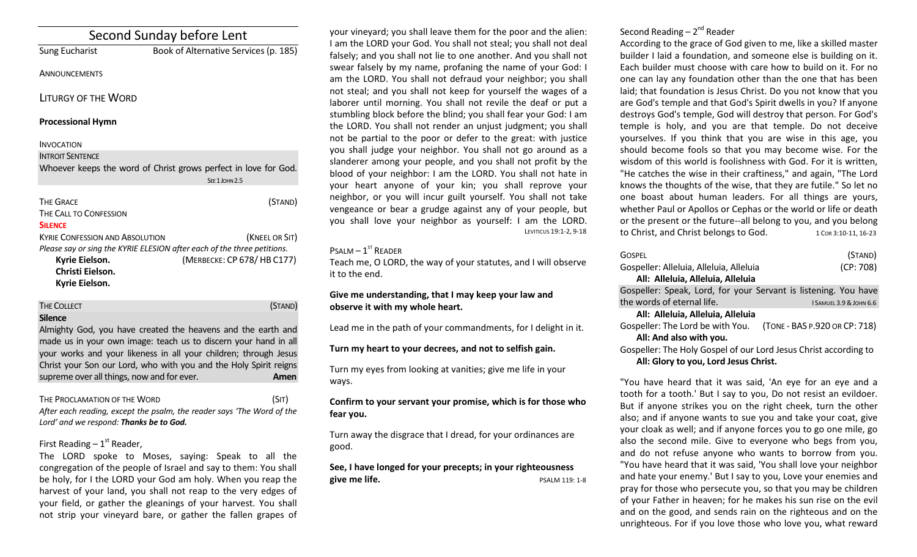| Second Sunday before Lent              |                                                                                                       |
|----------------------------------------|-------------------------------------------------------------------------------------------------------|
| <b>Sung Eucharist</b>                  | Book of Alternative Services (p. 185)                                                                 |
| ANNOUNCEMENTS                          |                                                                                                       |
| <b>LITURGY OF THE WORD</b>             |                                                                                                       |
| <b>Processional Hymn</b>               |                                                                                                       |
| <b>INVOCATION</b>                      |                                                                                                       |
| <b>INTROIT SENTENCE</b>                |                                                                                                       |
|                                        | Whoever keeps the word of Christ grows perfect in love for God.                                       |
|                                        | SFF <sub>1</sub> JOHN <sub>2.5</sub>                                                                  |
| <b>THE GRACE</b>                       | (STAND)                                                                                               |
| THE CALL TO CONFESSION                 |                                                                                                       |
| <b>SILENCE</b>                         |                                                                                                       |
| <b>KYRIE CONFESSION AND ABSOLUTION</b> | (KNEEL OR SIT)                                                                                        |
| Kyrie Eielson.                         | Please say or sing the KYRIE ELESION after each of the three petitions.<br>(MERBECKE: CP 678/HB C177) |
| Christi Eielson.                       |                                                                                                       |
| Kyrie Eielson.                         |                                                                                                       |
|                                        |                                                                                                       |
| <b>THE COLLECT</b>                     | (Stand)                                                                                               |

#### **Silence**

Almighty God, you have created the heavens and the earth and made us in your own image: teach us to discern your hand in all your works and your likeness in all your children; through Jesus Christ your Son our Lord, who with you and the Holy Spirit reigns supreme over all things, now and for ever. **Amen** 

THE PROCLAMATION OF THE WORD (SIT) *After each reading, except the psalm, the reader says 'The Word of the Lord' and we respond: Thanks be to God.* 

## First Reading  $-1<sup>st</sup>$  Reader,

The LORD spoke to Moses, saying: Speak to all the congregation of the people of Israel and say to them: You shall be holy, for I the LORD your God am holy. When you reap the harvest of your land, you shall not reap to the very edges of your field, or gather the gleanings of your harvest. You shall not strip your vineyard bare, or gather the fallen grapes of

your vineyard; you shall leave them for the poor and the alien: I am the LORD your God. You shall not steal; you shall not deal falsely; and you shall not lie to one another. And you shall not swear falsely by my name, profaning the name of your God: I am the LORD. You shall not defraud your neighbor; you shall not steal; and you shall not keep for yourself the wages of a laborer until morning. You shall not revile the deaf or put a stumbling block before the blind; you shall fear your God: I am the LORD. You shall not render an unjust judgment; you shall not be partial to the poor or defer to the great: with justice you shall judge your neighbor. You shall not go around as a slanderer among your people, and you shall not profit by the blood of your neighbor: I am the LORD. You shall not hate in your heart anyone of your kin; you shall reprove your neighbor, or you will incur guilt yourself. You shall not take vengeance or bear a grudge against any of your people, but you shall love your neighbor as yourself: I am the LORD. LEVITICUS 19:1-2, 9-18

 $P$ SALM  $-1$ <sup>ST</sup> READER

Teach me, O LORD, the way of your statutes, and I will observe it to the end.

#### **Give me understanding, that I may keep your law and observe it with my whole heart.**

Lead me in the path of your commandments, for I delight in it.

#### **Turn my heart to your decrees, and not to selfish gain.**

Turn my eyes from looking at vanities; give me life in your ways.

**Confirm to your servant your promise, which is for those who fear you.**

Turn away the disgrace that I dread, for your ordinances are good.

**See, I have longed for your precepts; in your righteousness give me life.** PSALM 119: 1-8

# Second Reading – 2<sup>nd</sup> Reader

According to the grace of God given to me, like a skilled master builder I laid a foundation, and someone else is building on it. Each builder must choose with care how to build on it. For no one can lay any foundation other than the one that has been laid; that foundation is Jesus Christ. Do you not know that you are God's temple and that God's Spirit dwells in you? If anyone destroys God's temple, God will destroy that person. For God's temple is holy, and you are that temple. Do not deceive yourselves. If you think that you are wise in this age, you should become fools so that you may become wise. For the wisdom of this world is foolishness with God. For it is written, "He catches the wise in their craftiness," and again, "The Lord knows the thoughts of the wise, that they are futile." So let no one boast about human leaders. For all things are yours, whether Paul or Apollos or Cephas or the world or life or death or the present or the future--all belong to you, and you belong to Christ, and Christ belongs to God. 1 COR 3:10-11, 16-23

| <b>GOSPEL</b>                                                    | (STAND)                       |
|------------------------------------------------------------------|-------------------------------|
| Gospeller: Alleluia, Alleluia, Alleluia                          | (CP: 708)                     |
| All: Alleluia, Alleluia, Alleluia                                |                               |
| Gospeller: Speak, Lord, for your Servant is listening. You have  |                               |
| the words of eternal life.                                       | I SAMUEL 3.9 & JOHN 6.6       |
| All: Alleluia, Alleluia, Alleluia                                |                               |
| Gospeller: The Lord be with You.                                 | (TONE - BAS P.920 OR CP: 718) |
| All: And also with you.                                          |                               |
| Gospeller: The Holy Gospel of our Lord Jesus Christ according to |                               |

**All: Glory to you, Lord Jesus Christ.**

"You have heard that it was said, 'An eye for an eye and a tooth for a tooth.' But I say to you, Do not resist an evildoer. But if anyone strikes you on the right cheek, turn the other also; and if anyone wants to sue you and take your coat, give your cloak as well; and if anyone forces you to go one mile, go also the second mile. Give to everyone who begs from you, and do not refuse anyone who wants to borrow from you. "You have heard that it was said, 'You shall love your neighbor and hate your enemy.' But I say to you, Love your enemies and pray for those who persecute you, so that you may be children of your Father in heaven; for he makes his sun rise on the evil and on the good, and sends rain on the righteous and on the unrighteous. For if you love those who love you, what reward